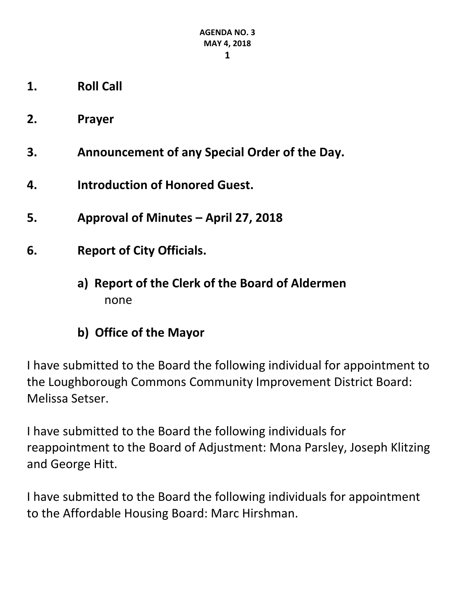- **1. Roll Call**
- **2. Prayer**
- **3. Announcement of any Special Order of the Day.**
- **4. Introduction of Honored Guest.**
- **5. Approval of Minutes – April 27, 2018**
- **6. Report of City Officials.**
	- **a) Report of the Clerk of the Board of Aldermen** none
	- **b) Office of the Mayor**

I have submitted to the Board the following individual for appointment to the Loughborough Commons Community Improvement District Board: Melissa Setser.

I have submitted to the Board the following individuals for reappointment to the Board of Adjustment: Mona Parsley, Joseph Klitzing and George Hitt.

I have submitted to the Board the following individuals for appointment to the Affordable Housing Board: Marc Hirshman.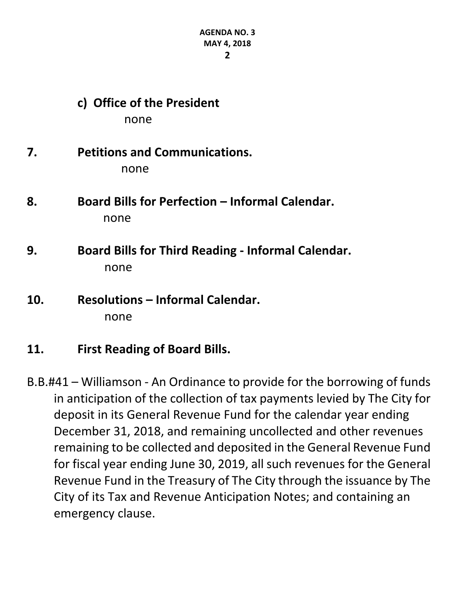# **c) Office of the President** none

# **7. Petitions and Communications.** none

- **8. Board Bills for Perfection – Informal Calendar.** none
- **9. Board Bills for Third Reading - Informal Calendar.** none
- **10. Resolutions – Informal Calendar.** none
- **11. First Reading of Board Bills.**
- B.B.#41 Williamson An Ordinance to provide for the borrowing of funds in anticipation of the collection of tax payments levied by The City for deposit in its General Revenue Fund for the calendar year ending December 31, 2018, and remaining uncollected and other revenues remaining to be collected and deposited in the General Revenue Fund for fiscal year ending June 30, 2019, all such revenues for the General Revenue Fund in the Treasury of The City through the issuance by The City of its Tax and Revenue Anticipation Notes; and containing an emergency clause.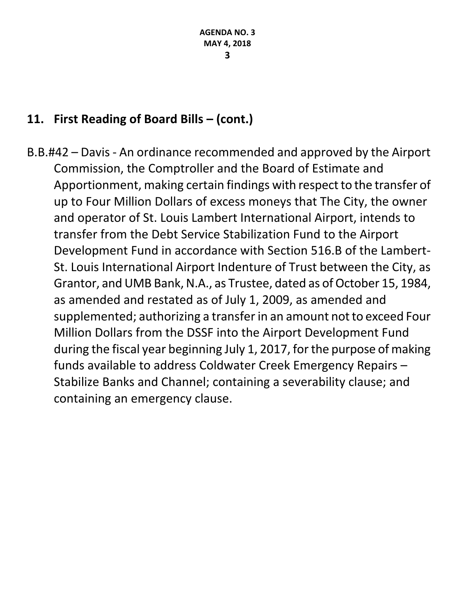# **11. First Reading of Board Bills – (cont.)**

B.B.#42 – Davis - An ordinance recommended and approved by the Airport Commission, the Comptroller and the Board of Estimate and Apportionment, making certain findings with respect to the transfer of up to Four Million Dollars of excess moneys that The City, the owner and operator of St. Louis Lambert International Airport, intends to transfer from the Debt Service Stabilization Fund to the Airport Development Fund in accordance with Section 516.B of the Lambert-St. Louis International Airport Indenture of Trust between the City, as Grantor, and UMB Bank, N.A., as Trustee, dated as of October 15, 1984, as amended and restated as of July 1, 2009, as amended and supplemented; authorizing a transfer in an amount not to exceed Four Million Dollars from the DSSF into the Airport Development Fund during the fiscal year beginning July 1, 2017, for the purpose of making funds available to address Coldwater Creek Emergency Repairs – Stabilize Banks and Channel; containing a severability clause; and containing an emergency clause.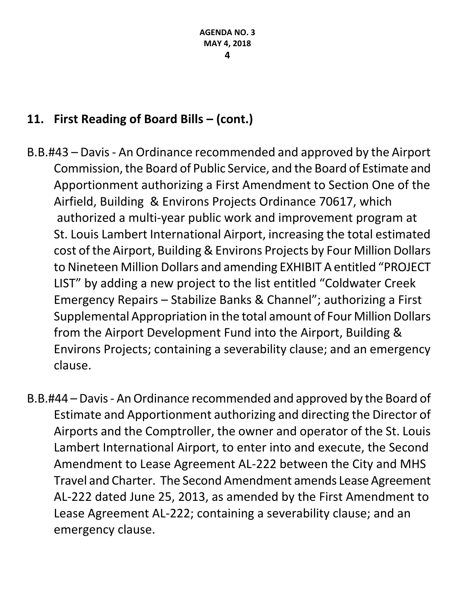# **11. First Reading of Board Bills – (cont.)**

- B.B.#43 Davis An Ordinance recommended and approved by the Airport Commission, the Board of Public Service, and the Board of Estimate and Apportionment authorizing a First Amendment to Section One of the Airfield, Building & Environs Projects Ordinance 70617, which authorized a multi-year public work and improvement program at St. Louis Lambert International Airport, increasing the total estimated cost of the Airport, Building & Environs Projects by Four Million Dollars to Nineteen Million Dollars and amending EXHIBIT A entitled "PROJECT LIST" by adding a new project to the list entitled "Coldwater Creek Emergency Repairs – Stabilize Banks & Channel"; authorizing a First Supplemental Appropriation in the total amount of Four Million Dollars from the Airport Development Fund into the Airport, Building & Environs Projects; containing a severability clause; and an emergency clause.
- B.B.#44 Davis An Ordinance recommended and approved by the Board of Estimate and Apportionment authorizing and directing the Director of Airports and the Comptroller, the owner and operator of the St. Louis Lambert International Airport, to enter into and execute, the Second Amendment to Lease Agreement AL-222 between the City and MHS Travel and Charter. The Second Amendment amends Lease Agreement AL-222 dated June 25, 2013, as amended by the First Amendment to Lease Agreement AL-222; containing a severability clause; and an emergency clause.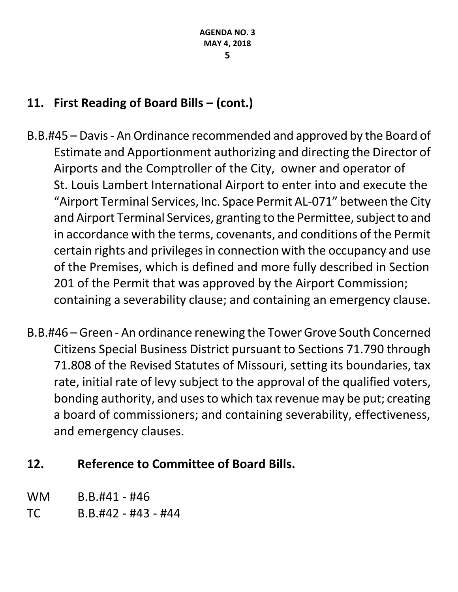# **11. First Reading of Board Bills – (cont.)**

- B.B.#45 Davis An Ordinance recommended and approved by the Board of Estimate and Apportionment authorizing and directing the Director of Airports and the Comptroller of the City, owner and operator of St. Louis Lambert International Airport to enter into and execute the "Airport Terminal Services, Inc. Space Permit AL-071" between the City and Airport Terminal Services, granting to the Permittee, subject to and in accordance with the terms, covenants, and conditions of the Permit certain rights and privileges in connection with the occupancy and use of the Premises, which is defined and more fully described in Section 201 of the Permit that was approved by the Airport Commission; containing a severability clause; and containing an emergency clause.
- B.B.#46 Green An ordinance renewing the Tower Grove South Concerned Citizens Special Business District pursuant to Sections 71.790 through 71.808 of the Revised Statutes of Missouri, setting its boundaries, tax rate, initial rate of levy subject to the approval of the qualified voters, bonding authority, and uses to which tax revenue may be put; creating a board of commissioners; and containing severability, effectiveness, and emergency clauses.

## **12. Reference to Committee of Board Bills.**

- WM B.B.#41 #46
- TC B.B.#42 #43 #44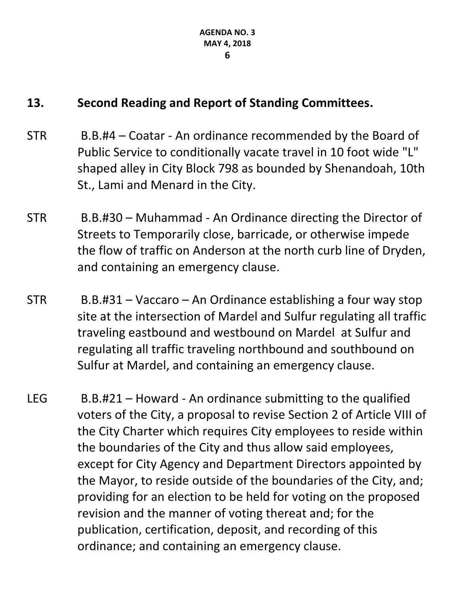## **13. Second Reading and Report of Standing Committees.**

- STR B.B.#4 Coatar An ordinance recommended by the Board of Public Service to conditionally vacate travel in 10 foot wide "L" shaped alley in City Block 798 as bounded by Shenandoah, 10th St., Lami and Menard in the City.
- STR B.B.#30 Muhammad An Ordinance directing the Director of Streets to Temporarily close, barricade, or otherwise impede the flow of traffic on Anderson at the north curb line of Dryden, and containing an emergency clause.
- STR B.B.#31 Vaccaro An Ordinance establishing a four way stop site at the intersection of Mardel and Sulfur regulating all traffic traveling eastbound and westbound on Mardel at Sulfur and regulating all traffic traveling northbound and southbound on Sulfur at Mardel, and containing an emergency clause.
- LEG B.B.#21 Howard An ordinance submitting to the qualified voters of the City, a proposal to revise Section 2 of Article VIII of the City Charter which requires City employees to reside within the boundaries of the City and thus allow said employees, except for City Agency and Department Directors appointed by the Mayor, to reside outside of the boundaries of the City, and; providing for an election to be held for voting on the proposed revision and the manner of voting thereat and; for the publication, certification, deposit, and recording of this ordinance; and containing an emergency clause.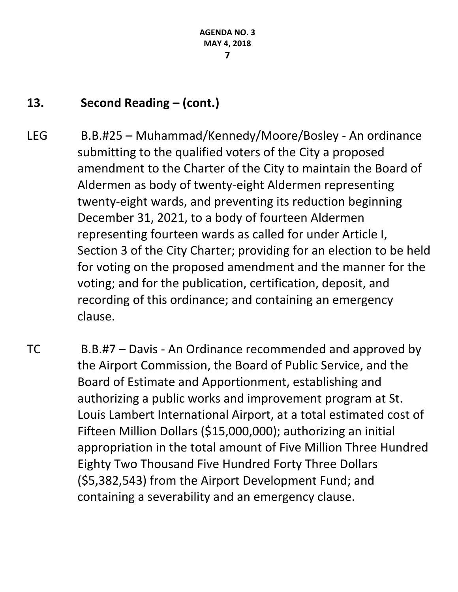# **13. Second Reading – (cont.)**

- LEG B.B.#25 Muhammad/Kennedy/Moore/Bosley An ordinance submitting to the qualified voters of the City a proposed amendment to the Charter of the City to maintain the Board of Aldermen as body of twenty-eight Aldermen representing twenty-eight wards, and preventing its reduction beginning December 31, 2021, to a body of fourteen Aldermen representing fourteen wards as called for under Article I, Section 3 of the City Charter; providing for an election to be held for voting on the proposed amendment and the manner for the voting; and for the publication, certification, deposit, and recording of this ordinance; and containing an emergency clause.
- TC B.B.#7 Davis An Ordinance recommended and approved by the Airport Commission, the Board of Public Service, and the Board of Estimate and Apportionment, establishing and authorizing a public works and improvement program at St. Louis Lambert International Airport, at a total estimated cost of Fifteen Million Dollars (\$15,000,000); authorizing an initial appropriation in the total amount of Five Million Three Hundred Eighty Two Thousand Five Hundred Forty Three Dollars (\$5,382,543) from the Airport Development Fund; and containing a severability and an emergency clause.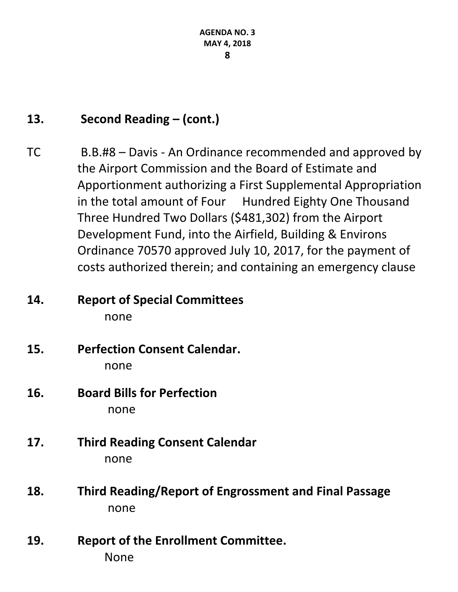# **13. Second Reading – (cont.)**

TC B.B.#8 – Davis - An Ordinance recommended and approved by the Airport Commission and the Board of Estimate and Apportionment authorizing a First Supplemental Appropriation in the total amount of Four Hundred Eighty One Thousand Three Hundred Two Dollars (\$481,302) from the Airport Development Fund, into the Airfield, Building & Environs Ordinance 70570 approved July 10, 2017, for the payment of costs authorized therein; and containing an emergency clause

## **14. Report of Special Committees** none

- **15. Perfection Consent Calendar.** none
- **16. Board Bills for Perfection** none
- **17. Third Reading Consent Calendar** none
- **18. Third Reading/Report of Engrossment and Final Passage** none
- **19. Report of the Enrollment Committee.** None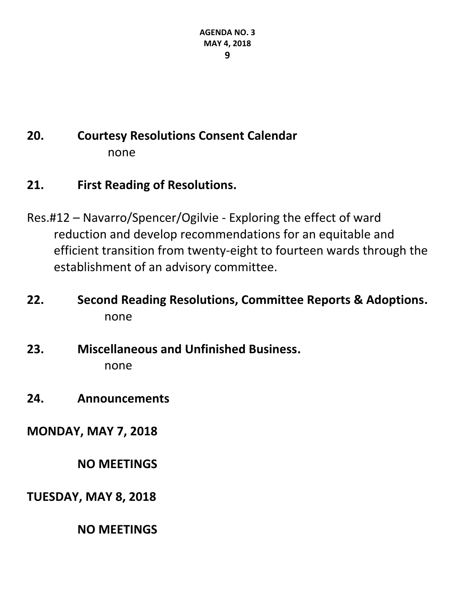# **20. Courtesy Resolutions Consent Calendar** none

## **21. First Reading of Resolutions.**

- Res.#12 Navarro/Spencer/Ogilvie Exploring the effect of ward reduction and develop recommendations for an equitable and efficient transition from twenty-eight to fourteen wards through the establishment of an advisory committee.
- **22. Second Reading Resolutions, Committee Reports & Adoptions.** none
- **23. Miscellaneous and Unfinished Business.** none
- **24. Announcements**

**MONDAY, MAY 7, 2018**

**NO MEETINGS**

**TUESDAY, MAY 8, 2018**

**NO MEETINGS**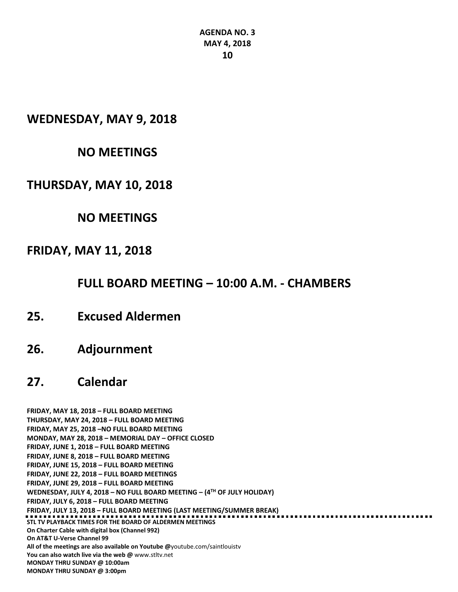#### **WEDNESDAY, MAY 9, 2018**

## **NO MEETINGS**

## **THURSDAY, MAY 10, 2018**

## **NO MEETINGS**

## **FRIDAY, MAY 11, 2018**

## **FULL BOARD MEETING – 10:00 A.M. - CHAMBERS**

- **25. Excused Aldermen**
- **26. Adjournment**

## **27. Calendar**

**FRIDAY, MAY 18, 2018 – FULL BOARD MEETING THURSDAY, MAY 24, 2018 – FULL BOARD MEETING FRIDAY, MAY 25, 2018 –NO FULL BOARD MEETING MONDAY, MAY 28, 2018 – MEMORIAL DAY – OFFICE CLOSED FRIDAY, JUNE 1, 2018 – FULL BOARD MEETING FRIDAY, JUNE 8, 2018 – FULL BOARD MEETING FRIDAY, JUNE 15, 2018 – FULL BOARD MEETING FRIDAY, JUNE 22, 2018 – FULL BOARD MEETINGS FRIDAY, JUNE 29, 2018 – FULL BOARD MEETING WEDNESDAY, JULY 4, 2018 – NO FULL BOARD MEETING – (4TH OF JULY HOLIDAY) FRIDAY, JULY 6, 2018 – FULL BOARD MEETING FRIDAY, JULY 13, 2018 – FULL BOARD MEETING (LAST MEETING/SUMMER BREAK) STL TV PLAYBACK TIMES FOR THE BOARD OF ALDERMEN MEETINGS On Charter Cable with digital box (Channel 992) On AT&T U-Verse Channel 99 All of the meetings are also available on Youtube @**[youtube.com/saintlouistv](http://youtube.com/saintlouistv) **You can also watch live via the web @** [www.stltv.net](http://www.stltv.net/) **MONDAY THRU SUNDAY @ 10:00am MONDAY THRU SUNDAY @ 3:00pm**